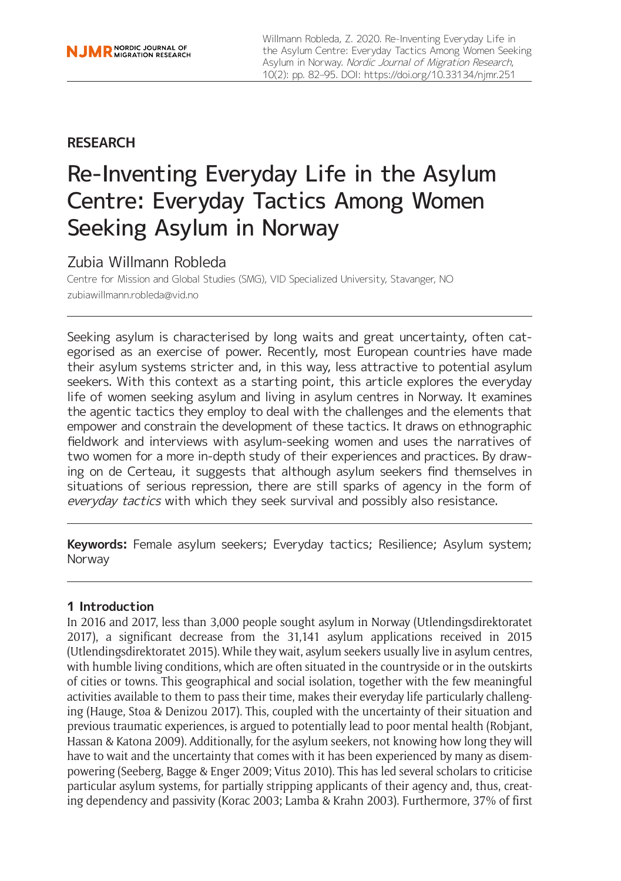Willmann Robleda, Z. 2020. Re-Inventing Everyday Life in the Asylum Centre: Everyday Tactics Among Women Seeking Asylum in Norway. Nordic Journal of Migration Research, 10(2): pp. 82–95. DOI:<https://doi.org/10.33134/njmr.251>

# **RESEARCH**

# Re-Inventing Everyday Life in the Asylum Centre: Everyday Tactics Among Women Seeking Asylum in Norway

# Zubia Willmann Robleda

Centre for Mission and Global Studies (SMG), VID Specialized University, Stavanger, NO [zubiawillmann.robleda@vid.no](mailto:zubiawillmann.robleda@vid.no)

Seeking asylum is characterised by long waits and great uncertainty, often categorised as an exercise of power. Recently, most European countries have made their asylum systems stricter and, in this way, less attractive to potential asylum seekers. With this context as a starting point, this article explores the everyday life of women seeking asylum and living in asylum centres in Norway. It examines the agentic tactics they employ to deal with the challenges and the elements that empower and constrain the development of these tactics. It draws on ethnographic fieldwork and interviews with asylum-seeking women and uses the narratives of two women for a more in-depth study of their experiences and practices. By drawing on de Certeau, it suggests that although asylum seekers find themselves in situations of serious repression, there are still sparks of agency in the form of everyday tactics with which they seek survival and possibly also resistance.

**Keywords:** Female asylum seekers; Everyday tactics; Resilience; Asylum system; Norway

# **1 Introduction**

In 2016 and 2017, less than 3,000 people sought asylum in Norway (Utlendingsdirektoratet 2017), a significant decrease from the 31,141 asylum applications received in 2015 (Utlendingsdirektoratet 2015). While they wait, asylum seekers usually live in asylum centres, with humble living conditions, which are often situated in the countryside or in the outskirts of cities or towns. This geographical and social isolation, together with the few meaningful activities available to them to pass their time, makes their everyday life particularly challenging (Hauge, Støa & Denizou 2017). This, coupled with the uncertainty of their situation and previous traumatic experiences, is argued to potentially lead to poor mental health (Robjant, Hassan & Katona 2009). Additionally, for the asylum seekers, not knowing how long they will have to wait and the uncertainty that comes with it has been experienced by many as disempowering (Seeberg, Bagge & Enger 2009; Vitus 2010). This has led several scholars to criticise particular asylum systems, for partially stripping applicants of their agency and, thus, creating dependency and passivity (Korac 2003; Lamba & Krahn 2003). Furthermore, 37% of first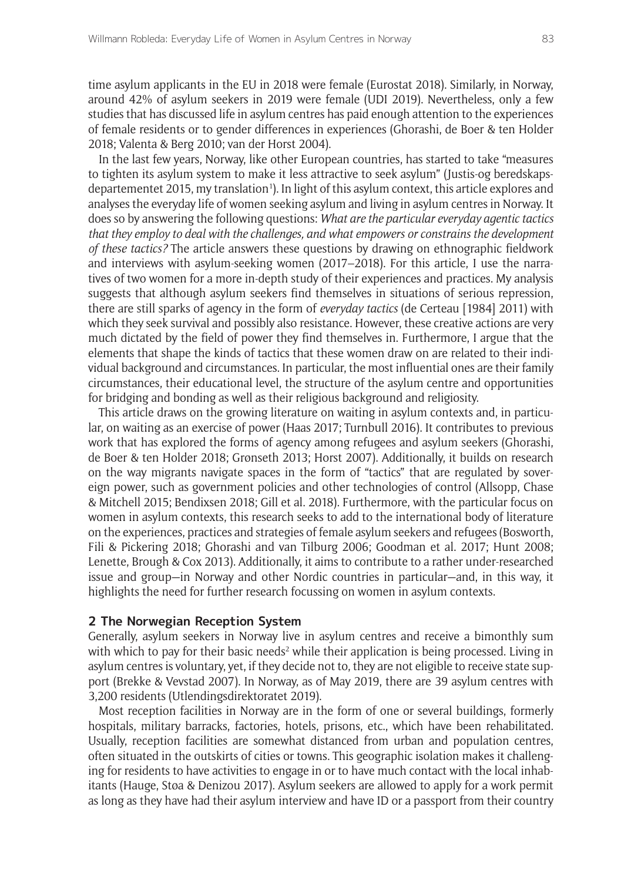time asylum applicants in the EU in 2018 were female (Eurostat 2018). Similarly, in Norway, around 42% of asylum seekers in 2019 were female (UDI 2019). Nevertheless, only a few studies that has discussed life in asylum centres has paid enough attention to the experiences of female residents or to gender differences in experiences (Ghorashi, de Boer & ten Holder 2018; Valenta & Berg 2010; van der Horst 2004).

In the last few years, Norway, like other European countries, has started to take "measures to tighten its asylum system to make it less attractive to seek asylum" (Justis-og beredskapsdepartementet 2015, my translation'). In light of this asylum context, this article explores and analyses the everyday life of women seeking asylum and living in asylum centres in Norway. It does so by answering the following questions: *What are the particular everyday agentic tactics that they employ to deal with the challenges, and what empowers or constrains the development of these tactics?* The article answers these questions by drawing on ethnographic fieldwork and interviews with asylum-seeking women (2017–2018). For this article, I use the narratives of two women for a more in-depth study of their experiences and practices. My analysis suggests that although asylum seekers find themselves in situations of serious repression, there are still sparks of agency in the form of *everyday tactics* (de Certeau [1984] 2011) with which they seek survival and possibly also resistance. However, these creative actions are very much dictated by the field of power they find themselves in. Furthermore, I argue that the elements that shape the kinds of tactics that these women draw on are related to their individual background and circumstances. In particular, the most influential ones are their family circumstances, their educational level, the structure of the asylum centre and opportunities for bridging and bonding as well as their religious background and religiosity.

This article draws on the growing literature on waiting in asylum contexts and, in particular, on waiting as an exercise of power (Haas 2017; Turnbull 2016). It contributes to previous work that has explored the forms of agency among refugees and asylum seekers (Ghorashi, de Boer & ten Holder 2018; Grønseth 2013; Horst 2007). Additionally, it builds on research on the way migrants navigate spaces in the form of "tactics" that are regulated by sovereign power, such as government policies and other technologies of control (Allsopp, Chase & Mitchell 2015; Bendixsen 2018; Gill et al. 2018). Furthermore, with the particular focus on women in asylum contexts, this research seeks to add to the international body of literature on the experiences, practices and strategies of female asylum seekers and refugees (Bosworth, Fili & Pickering 2018; Ghorashi and van Tilburg 2006; Goodman et al. 2017; Hunt 2008; Lenette, Brough & Cox 2013). Additionally, it aims to contribute to a rather under-researched issue and group—in Norway and other Nordic countries in particular—and, in this way, it highlights the need for further research focussing on women in asylum contexts.

#### **2 The Norwegian Reception System**

Generally, asylum seekers in Norway live in asylum centres and receive a bimonthly sum with which to pay for their basic needs<sup>2</sup> while their application is being processed. Living in asylum centres is voluntary, yet, if they decide not to, they are not eligible to receive state support (Brekke & Vevstad 2007). In Norway, as of May 2019, there are 39 asylum centres with 3,200 residents (Utlendingsdirektoratet 2019).

Most reception facilities in Norway are in the form of one or several buildings, formerly hospitals, military barracks, factories, hotels, prisons, etc., which have been rehabilitated. Usually, reception facilities are somewhat distanced from urban and population centres, often situated in the outskirts of cities or towns. This geographic isolation makes it challenging for residents to have activities to engage in or to have much contact with the local inhabitants (Hauge, Støa & Denizou 2017). Asylum seekers are allowed to apply for a work permit as long as they have had their asylum interview and have ID or a passport from their country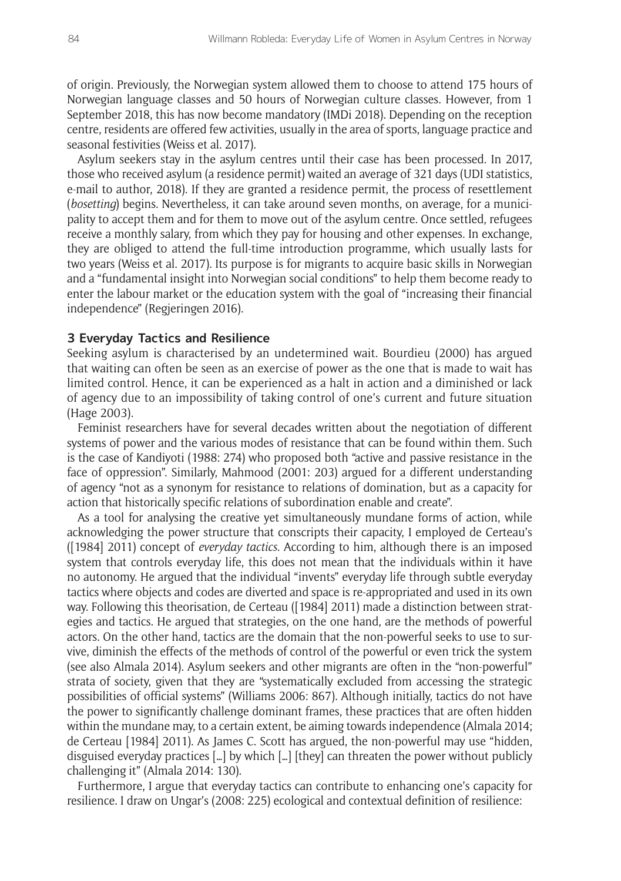of origin. Previously, the Norwegian system allowed them to choose to attend 175 hours of Norwegian language classes and 50 hours of Norwegian culture classes. However, from 1 September 2018, this has now become mandatory (IMDi 2018). Depending on the reception centre, residents are offered few activities, usually in the area of sports, language practice and seasonal festivities (Weiss et al. 2017).

Asylum seekers stay in the asylum centres until their case has been processed. In 2017, those who received asylum (a residence permit) waited an average of 321 days (UDI statistics, e-mail to author, 2018). If they are granted a residence permit, the process of resettlement (*bosetting*) begins. Nevertheless, it can take around seven months, on average, for a municipality to accept them and for them to move out of the asylum centre. Once settled, refugees receive a monthly salary, from which they pay for housing and other expenses. In exchange, they are obliged to attend the full-time introduction programme, which usually lasts for two years (Weiss et al. 2017). Its purpose is for migrants to acquire basic skills in Norwegian and a "fundamental insight into Norwegian social conditions" to help them become ready to enter the labour market or the education system with the goal of "increasing their financial independence" (Regjeringen 2016).

### **3 Everyday Tactics and Resilience**

Seeking asylum is characterised by an undetermined wait. Bourdieu (2000) has argued that waiting can often be seen as an exercise of power as the one that is made to wait has limited control. Hence, it can be experienced as a halt in action and a diminished or lack of agency due to an impossibility of taking control of one's current and future situation (Hage 2003).

Feminist researchers have for several decades written about the negotiation of different systems of power and the various modes of resistance that can be found within them. Such is the case of Kandiyoti (1988: 274) who proposed both "active and passive resistance in the face of oppression". Similarly, Mahmood (2001: 203) argued for a different understanding of agency "not as a synonym for resistance to relations of domination, but as a capacity for action that historically specific relations of subordination enable and create".

As a tool for analysing the creative yet simultaneously mundane forms of action, while acknowledging the power structure that conscripts their capacity, I employed de Certeau's ([1984] 2011) concept of *everyday tactics*. According to him, although there is an imposed system that controls everyday life, this does not mean that the individuals within it have no autonomy. He argued that the individual "invents" everyday life through subtle everyday tactics where objects and codes are diverted and space is re-appropriated and used in its own way. Following this theorisation, de Certeau ([1984] 2011) made a distinction between strategies and tactics. He argued that strategies, on the one hand, are the methods of powerful actors. On the other hand, tactics are the domain that the non-powerful seeks to use to survive, diminish the effects of the methods of control of the powerful or even trick the system (see also Almala 2014). Asylum seekers and other migrants are often in the "non-powerful" strata of society, given that they are "systematically excluded from accessing the strategic possibilities of official systems" (Williams 2006: 867). Although initially, tactics do not have the power to significantly challenge dominant frames, these practices that are often hidden within the mundane may, to a certain extent, be aiming towards independence (Almala 2014; de Certeau [1984] 2011). As James C. Scott has argued, the non-powerful may use "hidden, disguised everyday practices […] by which […] [they] can threaten the power without publicly challenging it" (Almala 2014: 130).

Furthermore, I argue that everyday tactics can contribute to enhancing one's capacity for resilience. I draw on Ungar's (2008: 225) ecological and contextual definition of resilience: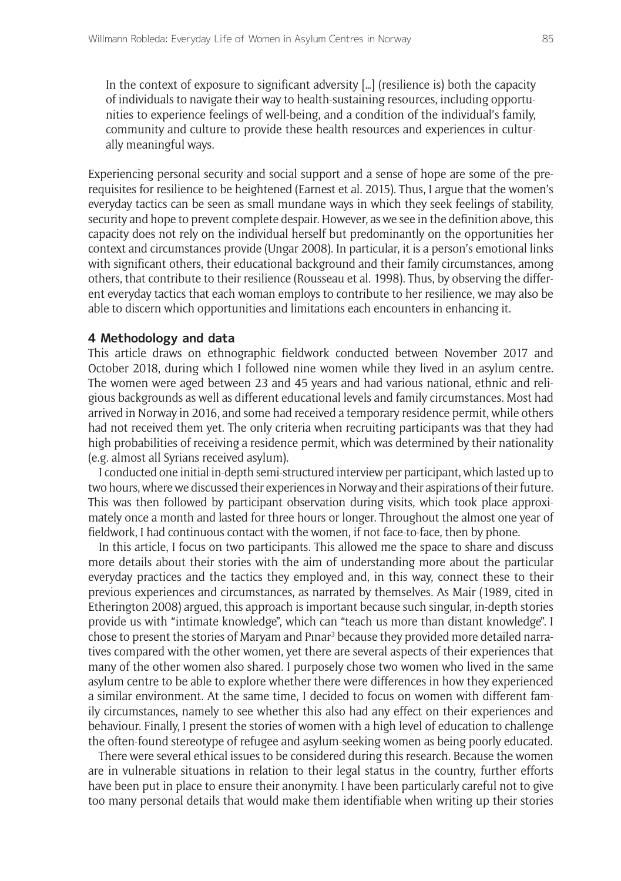In the context of exposure to significant adversity […] (resilience is) both the capacity of individuals to navigate their way to health-sustaining resources, including opportunities to experience feelings of well-being, and a condition of the individual's family, community and culture to provide these health resources and experiences in culturally meaningful ways.

Experiencing personal security and social support and a sense of hope are some of the prerequisites for resilience to be heightened (Earnest et al. 2015). Thus, I argue that the women's everyday tactics can be seen as small mundane ways in which they seek feelings of stability, security and hope to prevent complete despair. However, as we see in the definition above, this capacity does not rely on the individual herself but predominantly on the opportunities her context and circumstances provide (Ungar 2008). In particular, it is a person's emotional links with significant others, their educational background and their family circumstances, among others, that contribute to their resilience (Rousseau et al. 1998). Thus, by observing the different everyday tactics that each woman employs to contribute to her resilience, we may also be able to discern which opportunities and limitations each encounters in enhancing it.

#### **4 Methodology and data**

This article draws on ethnographic fieldwork conducted between November 2017 and October 2018, during which I followed nine women while they lived in an asylum centre. The women were aged between 23 and 45 years and had various national, ethnic and religious backgrounds as well as different educational levels and family circumstances. Most had arrived in Norway in 2016, and some had received a temporary residence permit, while others had not received them yet. The only criteria when recruiting participants was that they had high probabilities of receiving a residence permit, which was determined by their nationality (e.g. almost all Syrians received asylum).

I conducted one initial in-depth semi-structured interview per participant, which lasted up to two hours, where we discussed their experiences in Norway and their aspirations of their future. This was then followed by participant observation during visits, which took place approximately once a month and lasted for three hours or longer. Throughout the almost one year of fieldwork, I had continuous contact with the women, if not face-to-face, then by phone.

In this article, I focus on two participants. This allowed me the space to share and discuss more details about their stories with the aim of understanding more about the particular everyday practices and the tactics they employed and, in this way, connect these to their previous experiences and circumstances, as narrated by themselves. As Mair (1989, cited in Etherington 2008) argued, this approach is important because such singular, in-depth stories provide us with "intimate knowledge", which can "teach us more than distant knowledge". I chose to present the stories of Maryam and Pınar<sup>3</sup> because they provided more detailed narratives compared with the other women, yet there are several aspects of their experiences that many of the other women also shared. I purposely chose two women who lived in the same asylum centre to be able to explore whether there were differences in how they experienced a similar environment. At the same time, I decided to focus on women with different family circumstances, namely to see whether this also had any effect on their experiences and behaviour. Finally, I present the stories of women with a high level of education to challenge the often-found stereotype of refugee and asylum-seeking women as being poorly educated.

There were several ethical issues to be considered during this research. Because the women are in vulnerable situations in relation to their legal status in the country, further efforts have been put in place to ensure their anonymity. I have been particularly careful not to give too many personal details that would make them identifiable when writing up their stories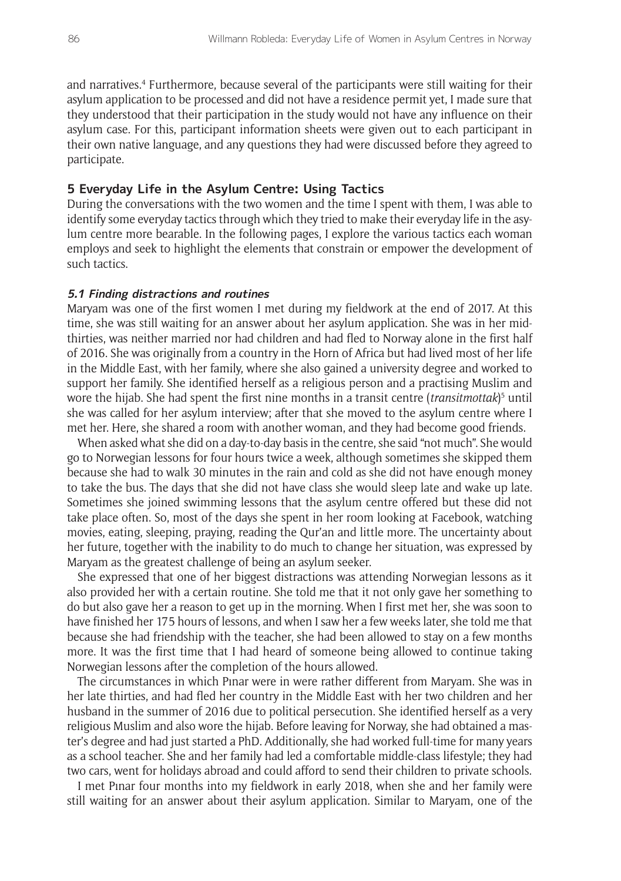and narratives.4 Furthermore, because several of the participants were still waiting for their asylum application to be processed and did not have a residence permit yet, I made sure that they understood that their participation in the study would not have any influence on their asylum case. For this, participant information sheets were given out to each participant in their own native language, and any questions they had were discussed before they agreed to participate.

## **5 Everyday Life in the Asylum Centre: Using Tactics**

During the conversations with the two women and the time I spent with them, I was able to identify some everyday tactics through which they tried to make their everyday life in the asylum centre more bearable. In the following pages, I explore the various tactics each woman employs and seek to highlight the elements that constrain or empower the development of such tactics.

### **5.1 Finding distractions and routines**

Maryam was one of the first women I met during my fieldwork at the end of 2017. At this time, she was still waiting for an answer about her asylum application. She was in her midthirties, was neither married nor had children and had fled to Norway alone in the first half of 2016. She was originally from a country in the Horn of Africa but had lived most of her life in the Middle East, with her family, where she also gained a university degree and worked to support her family. She identified herself as a religious person and a practising Muslim and wore the hijab. She had spent the first nine months in a transit centre (*transitmottak*)<sup>5</sup> until she was called for her asylum interview; after that she moved to the asylum centre where I met her. Here, she shared a room with another woman, and they had become good friends.

When asked what she did on a day-to-day basis in the centre, she said "not much". She would go to Norwegian lessons for four hours twice a week, although sometimes she skipped them because she had to walk 30 minutes in the rain and cold as she did not have enough money to take the bus. The days that she did not have class she would sleep late and wake up late. Sometimes she joined swimming lessons that the asylum centre offered but these did not take place often. So, most of the days she spent in her room looking at Facebook, watching movies, eating, sleeping, praying, reading the Qur'an and little more. The uncertainty about her future, together with the inability to do much to change her situation, was expressed by Maryam as the greatest challenge of being an asylum seeker.

She expressed that one of her biggest distractions was attending Norwegian lessons as it also provided her with a certain routine. She told me that it not only gave her something to do but also gave her a reason to get up in the morning. When I first met her, she was soon to have finished her 175 hours of lessons, and when I saw her a few weeks later, she told me that because she had friendship with the teacher, she had been allowed to stay on a few months more. It was the first time that I had heard of someone being allowed to continue taking Norwegian lessons after the completion of the hours allowed.

The circumstances in which Pınar were in were rather different from Maryam. She was in her late thirties, and had fled her country in the Middle East with her two children and her husband in the summer of 2016 due to political persecution. She identified herself as a very religious Muslim and also wore the hijab. Before leaving for Norway, she had obtained a master's degree and had just started a PhD. Additionally, she had worked full-time for many years as a school teacher. She and her family had led a comfortable middle-class lifestyle; they had two cars, went for holidays abroad and could afford to send their children to private schools.

I met Pınar four months into my fieldwork in early 2018, when she and her family were still waiting for an answer about their asylum application. Similar to Maryam, one of the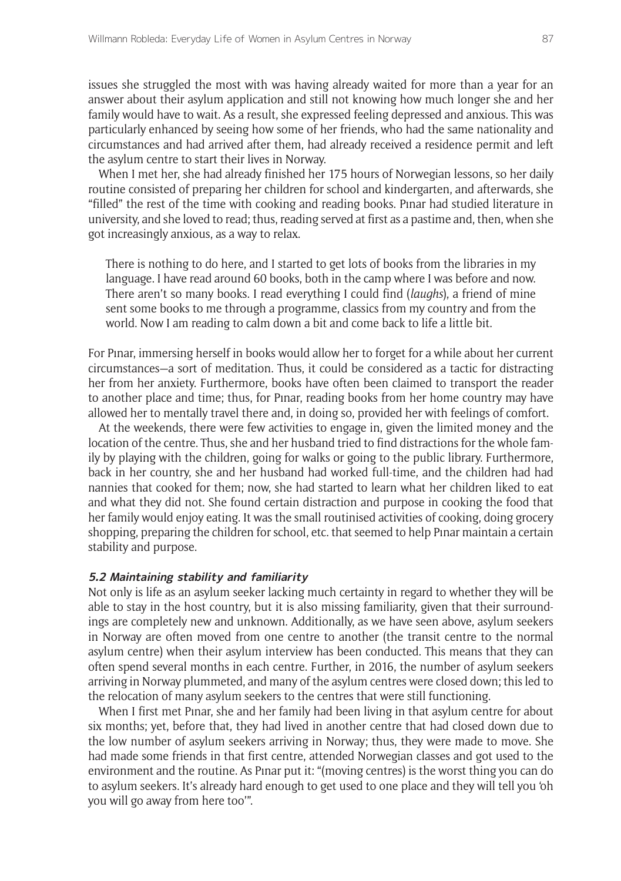issues she struggled the most with was having already waited for more than a year for an answer about their asylum application and still not knowing how much longer she and her family would have to wait. As a result, she expressed feeling depressed and anxious. This was particularly enhanced by seeing how some of her friends, who had the same nationality and circumstances and had arrived after them, had already received a residence permit and left the asylum centre to start their lives in Norway.

When I met her, she had already finished her 175 hours of Norwegian lessons, so her daily routine consisted of preparing her children for school and kindergarten, and afterwards, she "filled" the rest of the time with cooking and reading books. Pınar had studied literature in university, and she loved to read; thus, reading served at first as a pastime and, then, when she got increasingly anxious, as a way to relax.

There is nothing to do here, and I started to get lots of books from the libraries in my language. I have read around 60 books, both in the camp where I was before and now. There aren't so many books. I read everything I could find (*laughs*), a friend of mine sent some books to me through a programme, classics from my country and from the world. Now I am reading to calm down a bit and come back to life a little bit.

For Pınar, immersing herself in books would allow her to forget for a while about her current circumstances—a sort of meditation. Thus, it could be considered as a tactic for distracting her from her anxiety. Furthermore, books have often been claimed to transport the reader to another place and time; thus, for Pınar, reading books from her home country may have allowed her to mentally travel there and, in doing so, provided her with feelings of comfort.

At the weekends, there were few activities to engage in, given the limited money and the location of the centre. Thus, she and her husband tried to find distractions for the whole family by playing with the children, going for walks or going to the public library. Furthermore, back in her country, she and her husband had worked full-time, and the children had had nannies that cooked for them; now, she had started to learn what her children liked to eat and what they did not. She found certain distraction and purpose in cooking the food that her family would enjoy eating. It was the small routinised activities of cooking, doing grocery shopping, preparing the children for school, etc. that seemed to help Pınar maintain a certain stability and purpose.

#### **5.2 Maintaining stability and familiarity**

Not only is life as an asylum seeker lacking much certainty in regard to whether they will be able to stay in the host country, but it is also missing familiarity, given that their surroundings are completely new and unknown. Additionally, as we have seen above, asylum seekers in Norway are often moved from one centre to another (the transit centre to the normal asylum centre) when their asylum interview has been conducted. This means that they can often spend several months in each centre. Further, in 2016, the number of asylum seekers arriving in Norway plummeted, and many of the asylum centres were closed down; this led to the relocation of many asylum seekers to the centres that were still functioning.

When I first met Pınar, she and her family had been living in that asylum centre for about six months; yet, before that, they had lived in another centre that had closed down due to the low number of asylum seekers arriving in Norway; thus, they were made to move. She had made some friends in that first centre, attended Norwegian classes and got used to the environment and the routine. As Pınar put it: "(moving centres) is the worst thing you can do to asylum seekers. It's already hard enough to get used to one place and they will tell you 'oh you will go away from here too'".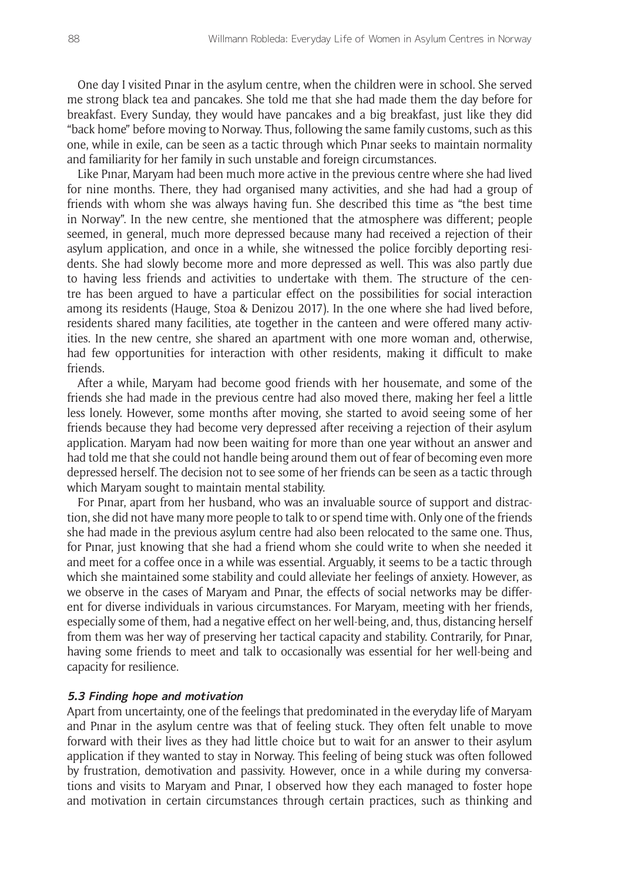One day I visited Pınar in the asylum centre, when the children were in school. She served me strong black tea and pancakes. She told me that she had made them the day before for breakfast. Every Sunday, they would have pancakes and a big breakfast, just like they did "back home" before moving to Norway. Thus, following the same family customs, such as this one, while in exile, can be seen as a tactic through which Pınar seeks to maintain normality and familiarity for her family in such unstable and foreign circumstances.

Like Pınar, Maryam had been much more active in the previous centre where she had lived for nine months. There, they had organised many activities, and she had had a group of friends with whom she was always having fun. She described this time as "the best time in Norway". In the new centre, she mentioned that the atmosphere was different; people seemed, in general, much more depressed because many had received a rejection of their asylum application, and once in a while, she witnessed the police forcibly deporting residents. She had slowly become more and more depressed as well. This was also partly due to having less friends and activities to undertake with them. The structure of the centre has been argued to have a particular effect on the possibilities for social interaction among its residents (Hauge, Støa & Denizou 2017). In the one where she had lived before, residents shared many facilities, ate together in the canteen and were offered many activities. In the new centre, she shared an apartment with one more woman and, otherwise, had few opportunities for interaction with other residents, making it difficult to make friends.

After a while, Maryam had become good friends with her housemate, and some of the friends she had made in the previous centre had also moved there, making her feel a little less lonely. However, some months after moving, she started to avoid seeing some of her friends because they had become very depressed after receiving a rejection of their asylum application. Maryam had now been waiting for more than one year without an answer and had told me that she could not handle being around them out of fear of becoming even more depressed herself. The decision not to see some of her friends can be seen as a tactic through which Maryam sought to maintain mental stability.

For Pınar, apart from her husband, who was an invaluable source of support and distraction, she did not have many more people to talk to or spend time with. Only one of the friends she had made in the previous asylum centre had also been relocated to the same one. Thus, for Pınar, just knowing that she had a friend whom she could write to when she needed it and meet for a coffee once in a while was essential. Arguably, it seems to be a tactic through which she maintained some stability and could alleviate her feelings of anxiety. However, as we observe in the cases of Maryam and Pınar, the effects of social networks may be different for diverse individuals in various circumstances. For Maryam, meeting with her friends, especially some of them, had a negative effect on her well-being, and, thus, distancing herself from them was her way of preserving her tactical capacity and stability. Contrarily, for Pınar, having some friends to meet and talk to occasionally was essential for her well-being and capacity for resilience.

#### **5.3 Finding hope and motivation**

Apart from uncertainty, one of the feelings that predominated in the everyday life of Maryam and Pınar in the asylum centre was that of feeling stuck. They often felt unable to move forward with their lives as they had little choice but to wait for an answer to their asylum application if they wanted to stay in Norway. This feeling of being stuck was often followed by frustration, demotivation and passivity. However, once in a while during my conversations and visits to Maryam and Pınar, I observed how they each managed to foster hope and motivation in certain circumstances through certain practices, such as thinking and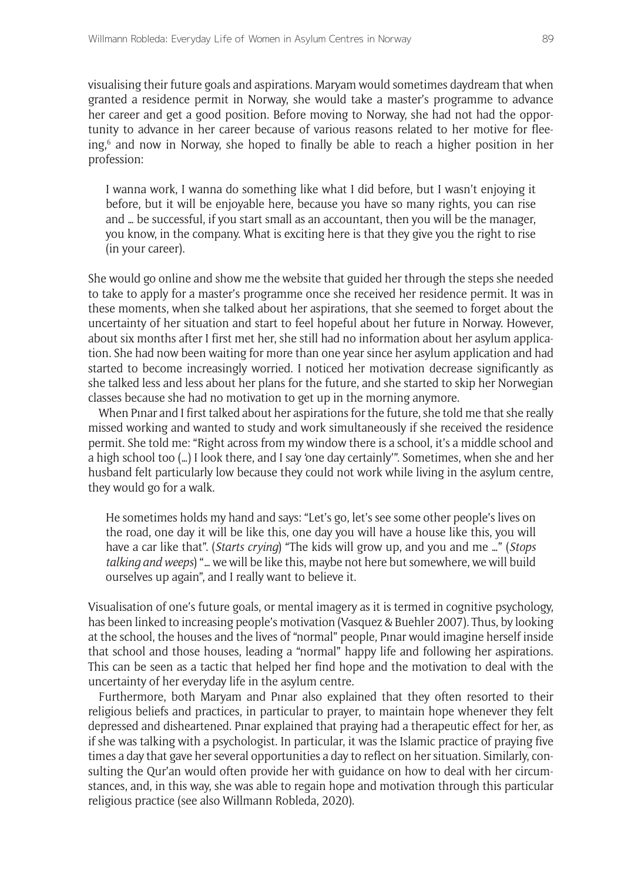visualising their future goals and aspirations. Maryam would sometimes daydream that when granted a residence permit in Norway, she would take a master's programme to advance her career and get a good position. Before moving to Norway, she had not had the opportunity to advance in her career because of various reasons related to her motive for fleeing,6 and now in Norway, she hoped to finally be able to reach a higher position in her profession:

I wanna work, I wanna do something like what I did before, but I wasn't enjoying it before, but it will be enjoyable here, because you have so many rights, you can rise and … be successful, if you start small as an accountant, then you will be the manager, you know, in the company. What is exciting here is that they give you the right to rise (in your career).

She would go online and show me the website that guided her through the steps she needed to take to apply for a master's programme once she received her residence permit. It was in these moments, when she talked about her aspirations, that she seemed to forget about the uncertainty of her situation and start to feel hopeful about her future in Norway. However, about six months after I first met her, she still had no information about her asylum application. She had now been waiting for more than one year since her asylum application and had started to become increasingly worried. I noticed her motivation decrease significantly as she talked less and less about her plans for the future, and she started to skip her Norwegian classes because she had no motivation to get up in the morning anymore.

When Pınar and I first talked about her aspirations for the future, she told me that she really missed working and wanted to study and work simultaneously if she received the residence permit. She told me: "Right across from my window there is a school, it's a middle school and a high school too (…) I look there, and I say 'one day certainly'". Sometimes, when she and her husband felt particularly low because they could not work while living in the asylum centre, they would go for a walk.

He sometimes holds my hand and says: "Let's go, let's see some other people's lives on the road, one day it will be like this, one day you will have a house like this, you will have a car like that". (*Starts crying*) "The kids will grow up, and you and me …" (*Stops talking and weeps*) "… we will be like this, maybe not here but somewhere, we will build ourselves up again", and I really want to believe it.

Visualisation of one's future goals, or mental imagery as it is termed in cognitive psychology, has been linked to increasing people's motivation (Vasquez & Buehler 2007). Thus, by looking at the school, the houses and the lives of "normal" people, Pınar would imagine herself inside that school and those houses, leading a "normal" happy life and following her aspirations. This can be seen as a tactic that helped her find hope and the motivation to deal with the uncertainty of her everyday life in the asylum centre.

Furthermore, both Maryam and Pınar also explained that they often resorted to their religious beliefs and practices, in particular to prayer, to maintain hope whenever they felt depressed and disheartened. Pınar explained that praying had a therapeutic effect for her, as if she was talking with a psychologist. In particular, it was the Islamic practice of praying five times a day that gave her several opportunities a day to reflect on her situation. Similarly, consulting the Qur'an would often provide her with guidance on how to deal with her circumstances, and, in this way, she was able to regain hope and motivation through this particular religious practice (see also Willmann Robleda, 2020).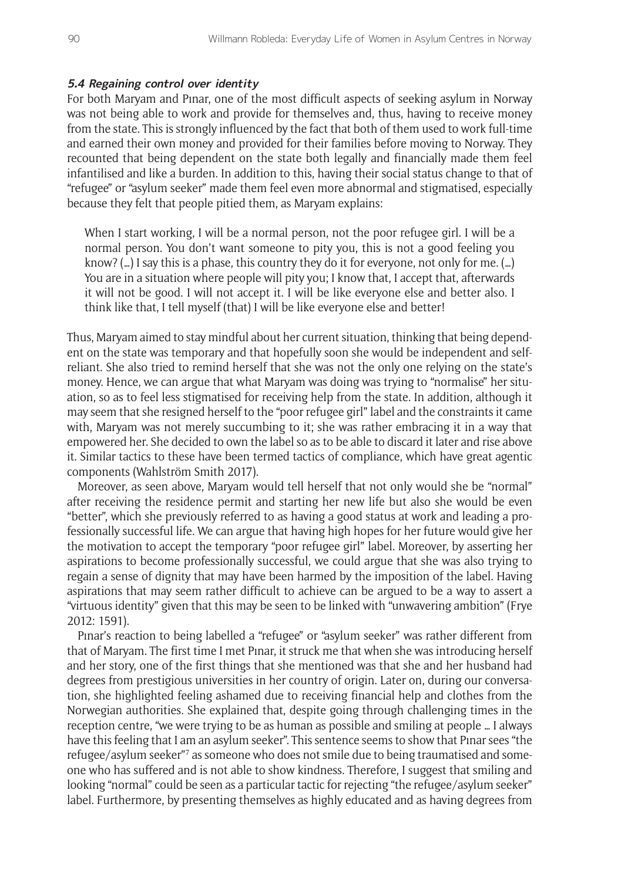#### **5.4 Regaining control over identity**

For both Maryam and Pınar, one of the most difficult aspects of seeking asylum in Norway was not being able to work and provide for themselves and, thus, having to receive money from the state. This is strongly influenced by the fact that both of them used to work full-time and earned their own money and provided for their families before moving to Norway. They recounted that being dependent on the state both legally and financially made them feel infantilised and like a burden. In addition to this, having their social status change to that of "refugee" or "asylum seeker" made them feel even more abnormal and stigmatised, especially because they felt that people pitied them, as Maryam explains:

When I start working, I will be a normal person, not the poor refugee girl. I will be a normal person. You don't want someone to pity you, this is not a good feeling you know? (…) I say this is a phase, this country they do it for everyone, not only for me. (…) You are in a situation where people will pity you; I know that, I accept that, afterwards it will not be good. I will not accept it. I will be like everyone else and better also. I think like that, I tell myself (that) I will be like everyone else and better!

Thus, Maryam aimed to stay mindful about her current situation, thinking that being dependent on the state was temporary and that hopefully soon she would be independent and selfreliant. She also tried to remind herself that she was not the only one relying on the state's money. Hence, we can argue that what Maryam was doing was trying to "normalise" her situation, so as to feel less stigmatised for receiving help from the state. In addition, although it may seem that she resigned herself to the "poor refugee girl" label and the constraints it came with, Maryam was not merely succumbing to it; she was rather embracing it in a way that empowered her. She decided to own the label so as to be able to discard it later and rise above it. Similar tactics to these have been termed tactics of compliance, which have great agentic components (Wahlström Smith 2017).

Moreover, as seen above, Maryam would tell herself that not only would she be "normal" after receiving the residence permit and starting her new life but also she would be even "better", which she previously referred to as having a good status at work and leading a professionally successful life. We can argue that having high hopes for her future would give her the motivation to accept the temporary "poor refugee girl" label. Moreover, by asserting her aspirations to become professionally successful, we could argue that she was also trying to regain a sense of dignity that may have been harmed by the imposition of the label. Having aspirations that may seem rather difficult to achieve can be argued to be a way to assert a "virtuous identity" given that this may be seen to be linked with "unwavering ambition" (Frye 2012: 1591).

Pınar's reaction to being labelled a "refugee" or "asylum seeker" was rather different from that of Maryam. The first time I met Pınar, it struck me that when she was introducing herself and her story, one of the first things that she mentioned was that she and her husband had degrees from prestigious universities in her country of origin. Later on, during our conversation, she highlighted feeling ashamed due to receiving financial help and clothes from the Norwegian authorities. She explained that, despite going through challenging times in the reception centre, "we were trying to be as human as possible and smiling at people … I always have this feeling that I am an asylum seeker". This sentence seems to show that Pınar sees "the refugee/asylum seeker"<sup>7</sup> as someone who does not smile due to being traumatised and someone who has suffered and is not able to show kindness. Therefore, I suggest that smiling and looking "normal" could be seen as a particular tactic for rejecting "the refugee/asylum seeker" label. Furthermore, by presenting themselves as highly educated and as having degrees from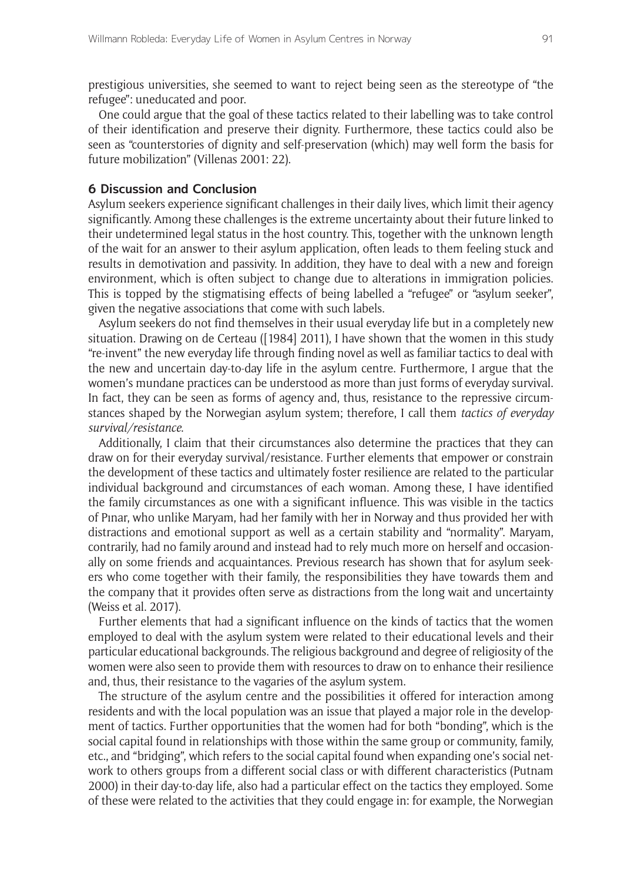One could argue that the goal of these tactics related to their labelling was to take control of their identification and preserve their dignity. Furthermore, these tactics could also be seen as "counterstories of dignity and self-preservation (which) may well form the basis for future mobilization" (Villenas 2001: 22).

#### **6 Discussion and Conclusion**

Asylum seekers experience significant challenges in their daily lives, which limit their agency significantly. Among these challenges is the extreme uncertainty about their future linked to their undetermined legal status in the host country. This, together with the unknown length of the wait for an answer to their asylum application, often leads to them feeling stuck and results in demotivation and passivity. In addition, they have to deal with a new and foreign environment, which is often subject to change due to alterations in immigration policies. This is topped by the stigmatising effects of being labelled a "refugee" or "asylum seeker", given the negative associations that come with such labels.

Asylum seekers do not find themselves in their usual everyday life but in a completely new situation. Drawing on de Certeau ([1984] 2011), I have shown that the women in this study "re-invent" the new everyday life through finding novel as well as familiar tactics to deal with the new and uncertain day-to-day life in the asylum centre. Furthermore, I argue that the women's mundane practices can be understood as more than just forms of everyday survival. In fact, they can be seen as forms of agency and, thus, resistance to the repressive circumstances shaped by the Norwegian asylum system; therefore, I call them *tactics of everyday survival/resistance*.

Additionally, I claim that their circumstances also determine the practices that they can draw on for their everyday survival/resistance. Further elements that empower or constrain the development of these tactics and ultimately foster resilience are related to the particular individual background and circumstances of each woman. Among these, I have identified the family circumstances as one with a significant influence. This was visible in the tactics of Pınar, who unlike Maryam, had her family with her in Norway and thus provided her with distractions and emotional support as well as a certain stability and "normality". Maryam, contrarily, had no family around and instead had to rely much more on herself and occasionally on some friends and acquaintances. Previous research has shown that for asylum seekers who come together with their family, the responsibilities they have towards them and the company that it provides often serve as distractions from the long wait and uncertainty (Weiss et al. 2017).

Further elements that had a significant influence on the kinds of tactics that the women employed to deal with the asylum system were related to their educational levels and their particular educational backgrounds. The religious background and degree of religiosity of the women were also seen to provide them with resources to draw on to enhance their resilience and, thus, their resistance to the vagaries of the asylum system.

The structure of the asylum centre and the possibilities it offered for interaction among residents and with the local population was an issue that played a major role in the development of tactics. Further opportunities that the women had for both "bonding", which is the social capital found in relationships with those within the same group or community, family, etc., and "bridging", which refers to the social capital found when expanding one's social network to others groups from a different social class or with different characteristics (Putnam 2000) in their day-to-day life, also had a particular effect on the tactics they employed. Some of these were related to the activities that they could engage in: for example, the Norwegian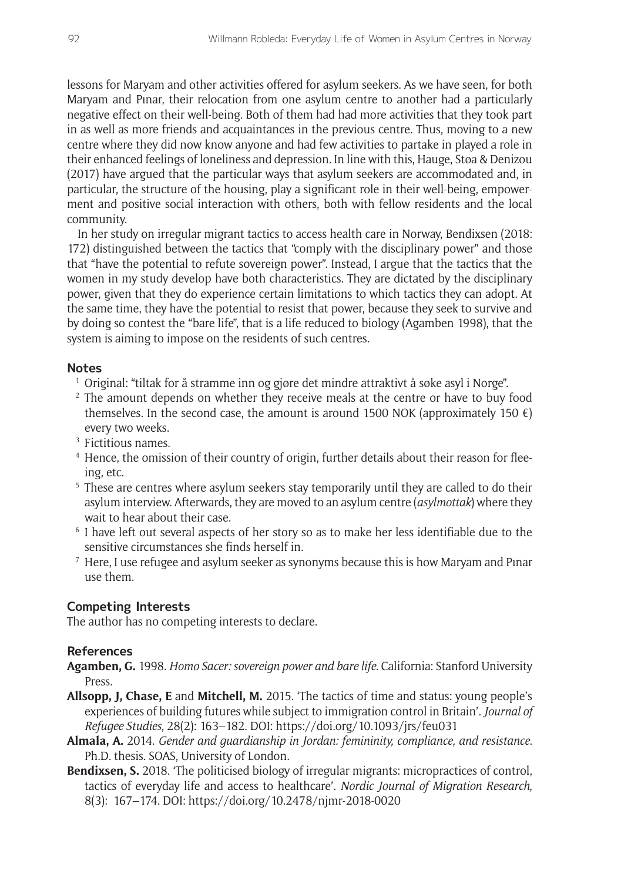lessons for Maryam and other activities offered for asylum seekers. As we have seen, for both Maryam and Pınar, their relocation from one asylum centre to another had a particularly negative effect on their well-being. Both of them had had more activities that they took part in as well as more friends and acquaintances in the previous centre. Thus, moving to a new centre where they did now know anyone and had few activities to partake in played a role in their enhanced feelings of loneliness and depression. In line with this, Hauge, Støa & Denizou (2017) have argued that the particular ways that asylum seekers are accommodated and, in particular, the structure of the housing, play a significant role in their well-being, empowerment and positive social interaction with others, both with fellow residents and the local community.

In her study on irregular migrant tactics to access health care in Norway, Bendixsen (2018: 172) distinguished between the tactics that "comply with the disciplinary power" and those that "have the potential to refute sovereign power". Instead, I argue that the tactics that the women in my study develop have both characteristics. They are dictated by the disciplinary power, given that they do experience certain limitations to which tactics they can adopt. At the same time, they have the potential to resist that power, because they seek to survive and by doing so contest the "bare life", that is a life reduced to biology (Agamben 1998), that the system is aiming to impose on the residents of such centres.

#### **Notes**

- <sup>1</sup> Original: "tiltak for å stramme inn og gjøre det mindre attraktivt å søke asyl i Norge".
- <sup>2</sup> The amount depends on whether they receive meals at the centre or have to buy food themselves. In the second case, the amount is around 1500 NOK (approximately 150  $\epsilon$ ) every two weeks.
- <sup>3</sup> Fictitious names.
- <sup>4</sup> Hence, the omission of their country of origin, further details about their reason for fleeing, etc.
- <sup>5</sup> These are centres where asylum seekers stay temporarily until they are called to do their asylum interview. Afterwards, they are moved to an asylum centre (*asylmottak*) where they wait to hear about their case.
- <sup>6</sup> I have left out several aspects of her story so as to make her less identifiable due to the sensitive circumstances she finds herself in.
- <sup>7</sup> Here, I use refugee and asylum seeker as synonyms because this is how Maryam and Pınar use them.

## **Competing Interests**

The author has no competing interests to declare.

### **References**

- **Agamben, G.** 1998. *Homo Sacer: sovereign power and bare life*. California: Stanford University Press.
- **Allsopp, J, Chase, E** and **Mitchell, M.** 2015. 'The tactics of time and status: young people's experiences of building futures while subject to immigration control in Britain'. *Journal of Refugee Studies*, 28(2): 163–182. DOI: <https://doi.org/10.1093/jrs/feu031>
- **Almala, A.** 2014. *Gender and guardianship in Jordan: femininity, compliance, and resistance*. Ph.D. thesis. SOAS, University of London.
- **Bendixsen, S.** 2018. 'The politicised biology of irregular migrants: micropractices of control, tactics of everyday life and access to healthcare'. *Nordic Journal of Migration Research*, 8(3): 167–174. DOI: <https://doi.org/10.2478/njmr-2018-0020>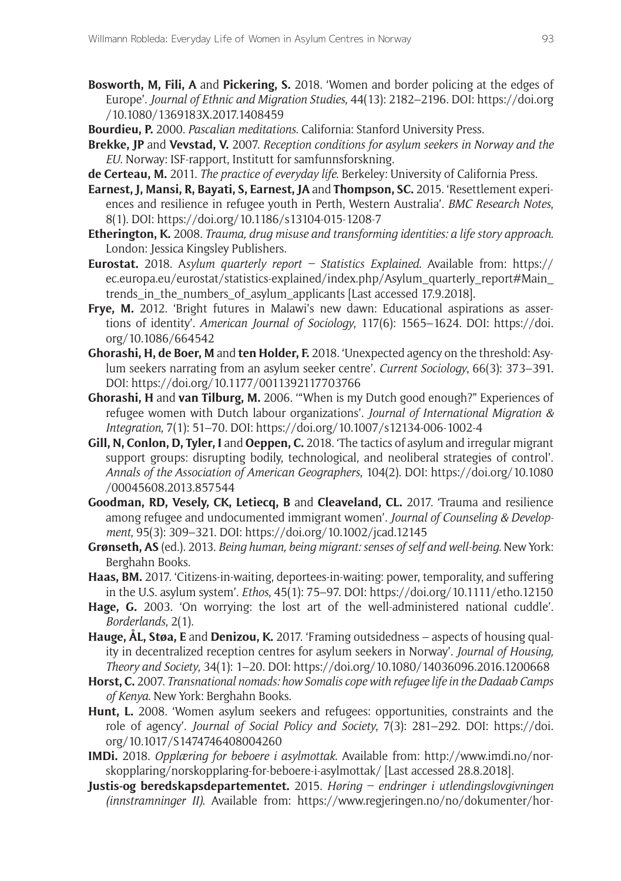- **Bosworth, M, Fili, A** and **Pickering, S.** 2018. 'Women and border policing at the edges of Europe'. *Journal of Ethnic and Migration Studies*, 44(13): 2182–2196. DOI: [https://doi.org](https://doi.org/10.1080/1369183X.2017.1408459) [/10.1080/1369183X.2017.1408459](https://doi.org/10.1080/1369183X.2017.1408459)
- **Bourdieu, P.** 2000. *Pascalian meditations*. California: Stanford University Press.
- **Brekke, JP** and **Vevstad, V.** 2007. *Reception conditions for asylum seekers in Norway and the EU*. Norway: ISF-rapport, Institutt for samfunnsforskning.
- **de Certeau, M.** 2011. *The practice of everyday life*. Berkeley: University of California Press.
- **Earnest, J, Mansi, R, Bayati, S, Earnest, JA** and **Thompson, SC.** 2015. 'Resettlement experiences and resilience in refugee youth in Perth, Western Australia'. *BMC Research Notes*, 8(1). DOI:<https://doi.org/10.1186/s13104-015-1208-7>
- **Etherington, K.** 2008. *Trauma, drug misuse and transforming identities: a life story approach*. London: Jessica Kingsley Publishers.
- **Eurostat.** 2018. A*sylum quarterly report Statistics Explained*. Available from: [https://](https://ec.europa.eu/eurostat/statistics-explained/index.php/Asylum_quarterly_report#Main_trends_in_the_numbers_of_asylum_applicants) [ec.europa.eu/eurostat/statistics-explained/index.php/Asylum\\_quarterly\\_report#Main\\_](https://ec.europa.eu/eurostat/statistics-explained/index.php/Asylum_quarterly_report#Main_trends_in_the_numbers_of_asylum_applicants) [trends\\_in\\_the\\_numbers\\_of\\_asylum\\_applicants](https://ec.europa.eu/eurostat/statistics-explained/index.php/Asylum_quarterly_report#Main_trends_in_the_numbers_of_asylum_applicants) [Last accessed 17.9.2018].
- **Frye, M.** 2012. 'Bright futures in Malawi's new dawn: Educational aspirations as assertions of identity'. *American Journal of Sociology*, 117(6): 1565–1624. DOI: [https://doi.](https://doi.org/10.1086/664542) [org/10.1086/664542](https://doi.org/10.1086/664542)
- **Ghorashi, H, de Boer, M** and **ten Holder, F.** 2018. 'Unexpected agency on the threshold: Asylum seekers narrating from an asylum seeker centre'. *Current Sociology*, 66(3): 373–391. DOI: <https://doi.org/10.1177/0011392117703766>
- **Ghorashi, H** and **van Tilburg, M.** 2006. '"When is my Dutch good enough?" Experiences of refugee women with Dutch labour organizations'. *Journal of International Migration & Integration*, 7(1): 51–70. DOI: <https://doi.org/10.1007/s12134-006-1002-4>
- **Gill, N, Conlon, D, Tyler, I** and **Oeppen, C.** 2018. 'The tactics of asylum and irregular migrant support groups: disrupting bodily, technological, and neoliberal strategies of control'. *Annals of the Association of American Geographers*, 104(2). DOI: [https://doi.org/10.1080](https://doi.org/10.1080/00045608.2013.857544) [/00045608.2013.857544](https://doi.org/10.1080/00045608.2013.857544)
- **Goodman, RD, Vesely, CK, Letiecq, B** and **Cleaveland, CL.** 2017. 'Trauma and resilience among refugee and undocumented immigrant women'. *Journal of Counseling & Development*, 95(3): 309–321. DOI:<https://doi.org/10.1002/jcad.12145>
- **Grønseth, AS** (ed.). 2013. *Being human, being migrant: senses of self and well-being*. New York: Berghahn Books.
- **Haas, BM.** 2017. 'Citizens-in-waiting, deportees-in-waiting: power, temporality, and suffering in the U.S. asylum system'. *Ethos*, 45(1): 75–97. DOI:<https://doi.org/10.1111/etho.12150>
- **Hage, G.** 2003. 'On worrying: the lost art of the well-administered national cuddle'. *Borderlands*, 2(1).
- **Hauge, ÅL, Støa, E** and **Denizou, K.** 2017. 'Framing outsidedness aspects of housing quality in decentralized reception centres for asylum seekers in Norway'. *Journal of Housing, Theory and Society*, 34(1): 1–20. DOI:<https://doi.org/10.1080/14036096.2016.1200668>
- **Horst, C.** 2007. *Transnational nomads: how Somalis cope with refugee life in the Dadaab Camps of Kenya*. New York: Berghahn Books.
- **Hunt, L.** 2008. 'Women asylum seekers and refugees: opportunities, constraints and the role of agency'. *Journal of Social Policy and Society*, 7(3): 281–292. DOI: [https://doi.](https://doi.org/10.1017/S1474746408004260) [org/10.1017/S1474746408004260](https://doi.org/10.1017/S1474746408004260)
- **IMDi.** 2018. *Opplæring for beboere i asylmottak*. Available from: [http://www.imdi.no/nor](http://www.imdi.no/norskopplaring/norskopplaring-for-beboere-i-asylmottak/)[skopplaring/norskopplaring-for-beboere-i-asylmottak/](http://www.imdi.no/norskopplaring/norskopplaring-for-beboere-i-asylmottak/) [Last accessed 28.8.2018].
- **Justis-og beredskapsdepartementet.** 2015. *Høring endringer i utlendingslovgivningen (innstramninger II)*. Available from: [https://www.regjeringen.no/no/dokumenter/hor-](https://www.regjeringen.no/no/dokumenter/horing - endringer-i-utlendingslovgivningen-innstramninger-ii/id2469054/)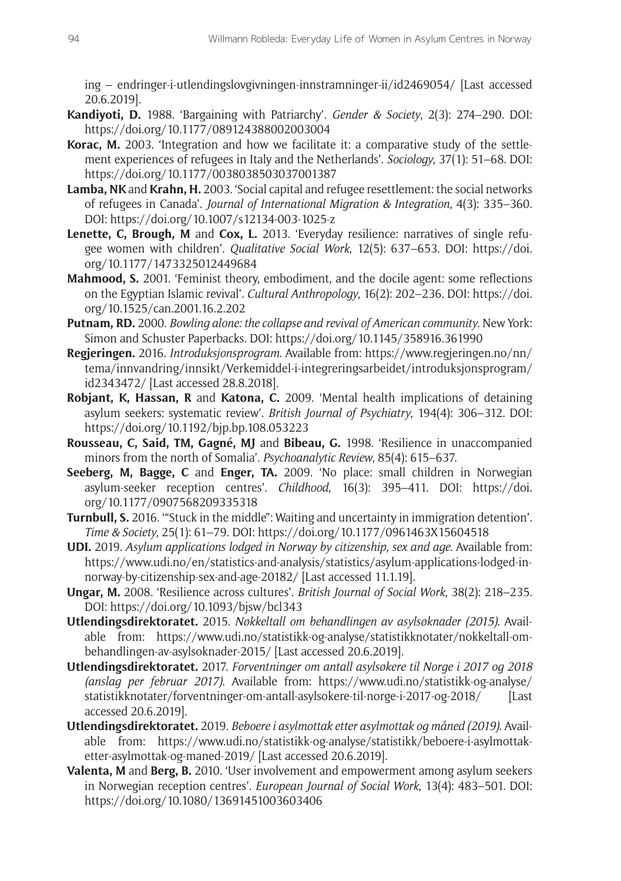[ing – endringer-i-utlendingslovgivningen-innstramninger-ii/id2469054/](https://www.regjeringen.no/no/dokumenter/horing - endringer-i-utlendingslovgivningen-innstramninger-ii/id2469054/) [Last accessed 20.6.2019].

- **Kandiyoti, D.** 1988. 'Bargaining with Patriarchy'. *Gender & Society*, 2(3): 274–290. DOI: <https://doi.org/10.1177/089124388002003004>
- **Korac, M.** 2003. 'Integration and how we facilitate it: a comparative study of the settlement experiences of refugees in Italy and the Netherlands'. *Sociology*, 37(1): 51–68. DOI: <https://doi.org/10.1177/0038038503037001387>
- **Lamba, NK** and **Krahn, H.** 2003. 'Social capital and refugee resettlement: the social networks of refugees in Canada'. *Journal of International Migration & Integration*, 4(3): 335–360. DOI: <https://doi.org/10.1007/s12134-003-1025-z>
- **Lenette, C, Brough, M** and **Cox, L.** 2013. 'Everyday resilience: narratives of single refugee women with children'. *Qualitative Social Work*, 12(5): 637–653. DOI: [https://doi.](https://doi.org/10.1177/1473325012449684) [org/10.1177/1473325012449684](https://doi.org/10.1177/1473325012449684)
- **Mahmood, S.** 2001. 'Feminist theory, embodiment, and the docile agent: some reflections on the Egyptian Islamic revival'. *Cultural Anthropology*, 16(2): 202–236. DOI: [https://doi.](https://doi.org/10.1525/can.2001.16.2.202) [org/10.1525/can.2001.16.2.202](https://doi.org/10.1525/can.2001.16.2.202)
- **Putnam, RD.** 2000. *Bowling alone: the collapse and revival of American community*. New York: Simon and Schuster Paperbacks. DOI:<https://doi.org/10.1145/358916.361990>
- **Regjeringen.** 2016. *Introduksjonsprogram*. Available from: [https://www.regjeringen.no/nn/](https://www.regjeringen.no/nn/tema/innvandring/innsikt/Verkemiddel-i-integreringsarbeidet/introduksjonsprogram/id2343472/) [tema/innvandring/innsikt/Verkemiddel-i-integreringsarbeidet/introduksjonsprogram/](https://www.regjeringen.no/nn/tema/innvandring/innsikt/Verkemiddel-i-integreringsarbeidet/introduksjonsprogram/id2343472/) [id2343472/](https://www.regjeringen.no/nn/tema/innvandring/innsikt/Verkemiddel-i-integreringsarbeidet/introduksjonsprogram/id2343472/) [Last accessed 28.8.2018].
- **Robjant, K, Hassan, R** and **Katona, C.** 2009. 'Mental health implications of detaining asylum seekers: systematic review'. *British Journal of Psychiatry*, 194(4): 306–312. DOI: <https://doi.org/10.1192/bjp.bp.108.053223>
- **Rousseau, C, Said, TM, Gagné, MJ** and **Bibeau, G.** 1998. 'Resilience in unaccompanied minors from the north of Somalia'. *Psychoanalytic Review*, 85(4): 615–637.
- **Seeberg, M, Bagge, C** and **Enger, TA.** 2009. 'No place: small children in Norwegian asylum-seeker reception centres'. *Childhood*, 16(3): 395–411. DOI: [https://doi.](https://doi.org/10.1177/0907568209335318) [org/10.1177/0907568209335318](https://doi.org/10.1177/0907568209335318)
- **Turnbull, S.** 2016. '"Stuck in the middle": Waiting and uncertainty in immigration detention'. *Time & Society*, 25(1): 61–79. DOI:<https://doi.org/10.1177/0961463X15604518>
- **UDI.** 2019. *Asylum applications lodged in Norway by citizenship, sex and age*. Available from: [https://www.udi.no/en/statistics-and-analysis/statistics/asylum-applications-lodged-in](https://www.udi.no/en/statistics-and-analysis/statistics/asylum-applications-lodged-in-norway-by-citizenship-sex-and-age-20182/)[norway-by-citizenship-sex-and-age-20182/](https://www.udi.no/en/statistics-and-analysis/statistics/asylum-applications-lodged-in-norway-by-citizenship-sex-and-age-20182/) [Last accessed 11.1.19].
- **Ungar, M.** 2008. 'Resilience across cultures'. *British Journal of Social Work*, 38(2): 218–235. DOI: <https://doi.org/10.1093/bjsw/bcl343>
- **Utlendingsdirektoratet.** 2015. *Nøkkeltall om behandlingen av asylsøknader (2015)*. Available from: [https://www.udi.no/statistikk-og-analyse/statistikknotater/nokkeltall-om](https://www.udi.no/statistikk-og-analyse/statistikknotater/nokkeltall-om-behandlingen-av-asylsoknader-2015/)[behandlingen-av-asylsoknader-2015/](https://www.udi.no/statistikk-og-analyse/statistikknotater/nokkeltall-om-behandlingen-av-asylsoknader-2015/) [Last accessed 20.6.2019].
- **Utlendingsdirektoratet.** 2017. *Forventninger om antall asylsøkere til Norge i 2017 og 2018 (anslag per februar 2017)*. Available from: [https://www.udi.no/statistikk-og-analyse/](https://www.udi.no/statistikk-og-analyse/statistikknotater/forventninger-om-antall-asylsokere-til-norge-i-2017-og-2018/) [statistikknotater/forventninger-om-antall-asylsokere-til-norge-i-2017-og-2018/](https://www.udi.no/statistikk-og-analyse/statistikknotater/forventninger-om-antall-asylsokere-til-norge-i-2017-og-2018/) [Last accessed 20.6.2019].
- **Utlendingsdirektoratet.** 2019. *Beboere i asylmottak etter asylmottak og måned (2019)*. Available from: [https://www.udi.no/statistikk-og-analyse/statistikk/beboere-i-asylmottak](https://www.udi.no/statistikk-og-analyse/statistikk/beboere-i-asylmottak-etter-asylmottak-og-maned-2019/)[etter-asylmottak-og-maned-2019/](https://www.udi.no/statistikk-og-analyse/statistikk/beboere-i-asylmottak-etter-asylmottak-og-maned-2019/) [Last accessed 20.6.2019].
- **Valenta, M** and **Berg, B.** 2010. 'User involvement and empowerment among asylum seekers in Norwegian reception centres'. *European Journal of Social Work*, 13(4): 483–501. DOI: <https://doi.org/10.1080/13691451003603406>